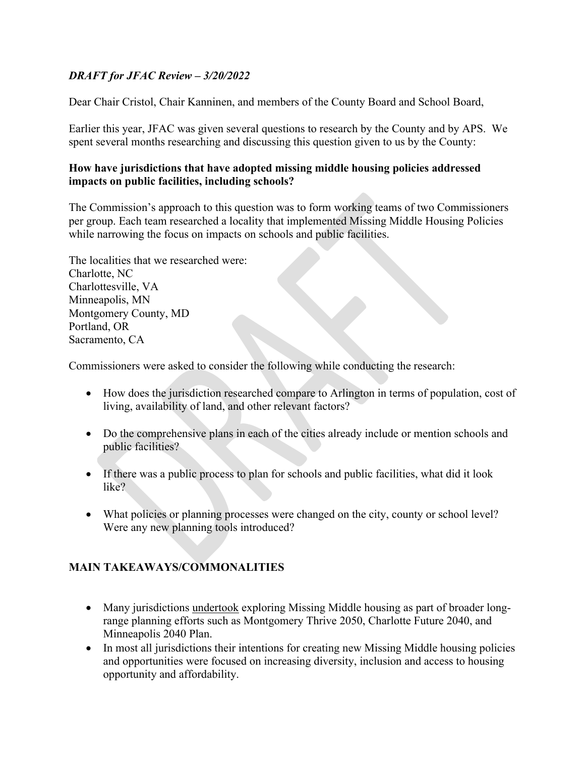# *DRAFT for JFAC Review – 3/20/2022*

Dear Chair Cristol, Chair Kanninen, and members of the County Board and School Board,

Earlier this year, JFAC was given several questions to research by the County and by APS. We spent several months researching and discussing this question given to us by the County:

### **How have jurisdictions that have adopted missing middle housing policies addressed impacts on public facilities, including schools?**

The Commission's approach to this question was to form working teams of two Commissioners per group. Each team researched a locality that implemented Missing Middle Housing Policies while narrowing the focus on impacts on schools and public facilities.

The localities that we researched were: Charlotte, NC Charlottesville, VA Minneapolis, MN Montgomery County, MD Portland, OR Sacramento, CA

Commissioners were asked to consider the following while conducting the research:

- How does the jurisdiction researched compare to Arlington in terms of population, cost of living, availability of land, and other relevant factors?
- Do the comprehensive plans in each of the cities already include or mention schools and public facilities?
- If there was a public process to plan for schools and public facilities, what did it look like?
- What policies or planning processes were changed on the city, county or school level? Were any new planning tools introduced?

## **MAIN TAKEAWAYS/COMMONALITIES**

- Many jurisdictions undertook exploring Missing Middle housing as part of broader longrange planning efforts such as Montgomery Thrive 2050, Charlotte Future 2040, and Minneapolis 2040 Plan.
- In most all jurisdictions their intentions for creating new Missing Middle housing policies and opportunities were focused on increasing diversity, inclusion and access to housing opportunity and affordability.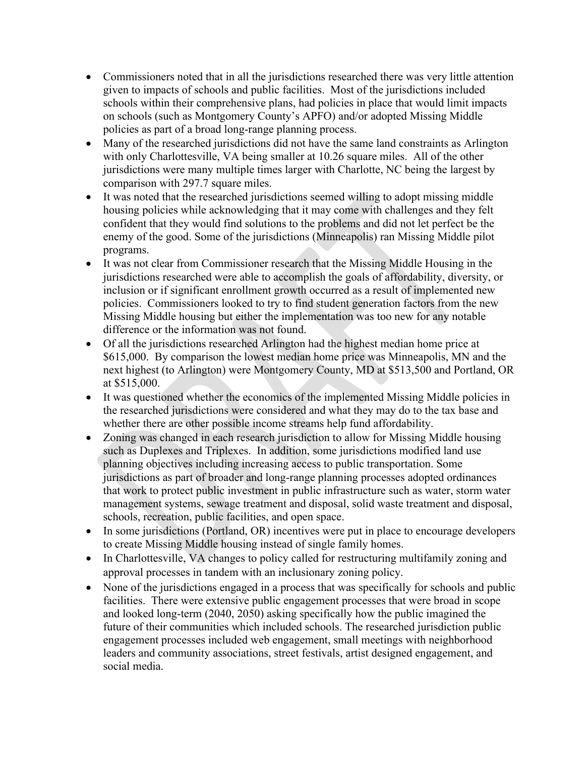- Commissioners noted that in all the jurisdictions researched there was very little attention given to impacts of schools and public facilities. Most of the jurisdictions included schools within their comprehensive plans, had policies in place that would limit impacts on schools (such as Montgomery County's APFO) and/or adopted Missing Middle policies as part of a broad long-range planning process.
- Many of the researched jurisdictions did not have the same land constraints as Arlington with only Charlottesville, VA being smaller at 10.26 square miles. All of the other jurisdictions were many multiple times larger with Charlotte, NC being the largest by comparison with 297.7 square miles.
- It was noted that the researched jurisdictions seemed willing to adopt missing middle housing policies while acknowledging that it may come with challenges and they felt confident that they would find solutions to the problems and did not let perfect be the enemy of the good. Some of the jurisdictions (Minneapolis) ran Missing Middle pilot programs.
- It was not clear from Commissioner research that the Missing Middle Housing in the jurisdictions researched were able to accomplish the goals of affordability, diversity, or inclusion or if significant enrollment growth occurred as a result of implemented new policies. Commissioners looked to try to find student generation factors from the new Missing Middle housing but either the implementation was too new for any notable difference or the information was not found.
- Of all the jurisdictions researched Arlington had the highest median home price at \$615,000. By comparison the lowest median home price was Minneapolis, MN and the next highest (to Arlington) were Montgomery County, MD at \$513,500 and Portland, OR at \$515,000.
- It was questioned whether the economics of the implemented Missing Middle policies in the researched jurisdictions were considered and what they may do to the tax base and whether there are other possible income streams help fund affordability.
- Zoning was changed in each research jurisdiction to allow for Missing Middle housing such as Duplexes and Triplexes. In addition, some jurisdictions modified land use planning objectives including increasing access to public transportation. Some jurisdictions as part of broader and long-range planning processes adopted ordinances that work to protect public investment in public infrastructure such as water, storm water management systems, sewage treatment and disposal, solid waste treatment and disposal, schools, recreation, public facilities, and open space.
- In some jurisdictions (Portland, OR) incentives were put in place to encourage developers to create Missing Middle housing instead of single family homes.
- In Charlottesville, VA changes to policy called for restructuring multifamily zoning and approval processes in tandem with an inclusionary zoning policy.
- None of the jurisdictions engaged in a process that was specifically for schools and public facilities. There were extensive public engagement processes that were broad in scope and looked long-term (2040, 2050) asking specifically how the public imagined the future of their communities which included schools. The researched jurisdiction public engagement processes included web engagement, small meetings with neighborhood leaders and community associations, street festivals, artist designed engagement, and social media.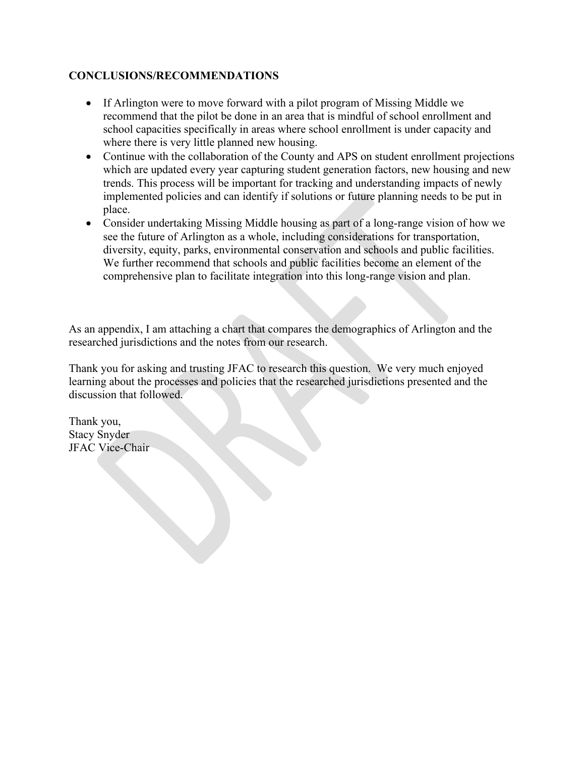## **CONCLUSIONS/RECOMMENDATIONS**

- If Arlington were to move forward with a pilot program of Missing Middle we recommend that the pilot be done in an area that is mindful of school enrollment and school capacities specifically in areas where school enrollment is under capacity and where there is very little planned new housing.
- Continue with the collaboration of the County and APS on student enrollment projections which are updated every year capturing student generation factors, new housing and new trends. This process will be important for tracking and understanding impacts of newly implemented policies and can identify if solutions or future planning needs to be put in place.
- Consider undertaking Missing Middle housing as part of a long-range vision of how we see the future of Arlington as a whole, including considerations for transportation, diversity, equity, parks, environmental conservation and schools and public facilities. We further recommend that schools and public facilities become an element of the comprehensive plan to facilitate integration into this long-range vision and plan.

As an appendix, I am attaching a chart that compares the demographics of Arlington and the researched jurisdictions and the notes from our research.

Thank you for asking and trusting JFAC to research this question. We very much enjoyed learning about the processes and policies that the researched jurisdictions presented and the discussion that followed.

Thank you, Stacy Snyder JFAC Vice-Chair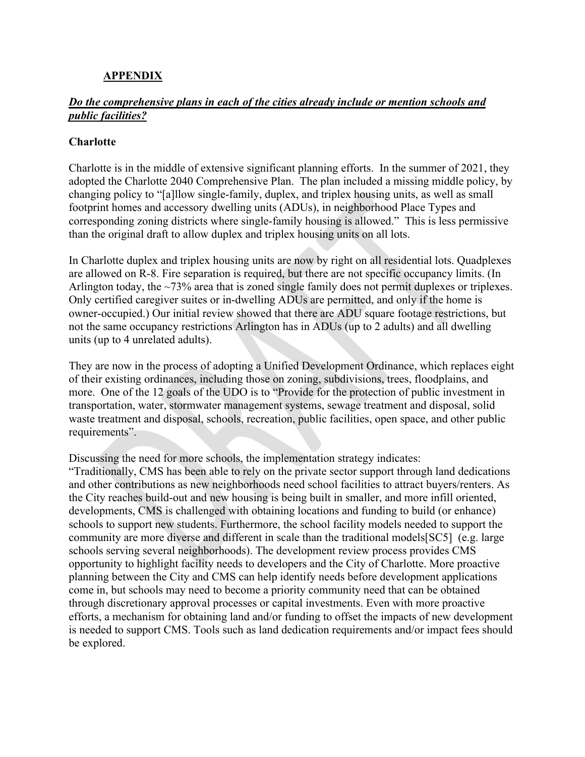### **APPENDIX**

### *Do the comprehensive plans in each of the cities already include or mention schools and public facilities?*

#### **Charlotte**

Charlotte is in the middle of extensive significant planning efforts. In the summer of 2021, they adopted the Charlotte 2040 Comprehensive Plan. The plan included a missing middle policy, by changing policy to "[a]llow single-family, duplex, and triplex housing units, as well as small footprint homes and accessory dwelling units (ADUs), in neighborhood Place Types and corresponding zoning districts where single-family housing is allowed." This is less permissive than the original draft to allow duplex and triplex housing units on all lots.

In Charlotte duplex and triplex housing units are now by right on all residential lots. Quadplexes are allowed on R-8. Fire separation is required, but there are not specific occupancy limits. (In Arlington today, the ~73% area that is zoned single family does not permit duplexes or triplexes. Only certified caregiver suites or in-dwelling ADUs are permitted, and only if the home is owner-occupied.) Our initial review showed that there are ADU square footage restrictions, but not the same occupancy restrictions Arlington has in ADUs (up to 2 adults) and all dwelling units (up to 4 unrelated adults).

They are now in the process of adopting a Unified Development Ordinance, which replaces eight of their existing ordinances, including those on zoning, subdivisions, trees, floodplains, and more. One of the 12 goals of the UDO is to "Provide for the protection of public investment in transportation, water, stormwater management systems, sewage treatment and disposal, solid waste treatment and disposal, schools, recreation, public facilities, open space, and other public requirements".

Discussing the need for more schools, the implementation strategy indicates:

"Traditionally, CMS has been able to rely on the private sector support through land dedications and other contributions as new neighborhoods need school facilities to attract buyers/renters. As the City reaches build-out and new housing is being built in smaller, and more infill oriented, developments, CMS is challenged with obtaining locations and funding to build (or enhance) schools to support new students. Furthermore, the school facility models needed to support the community are more diverse and different in scale than the traditional models[SC5] (e.g. large schools serving several neighborhoods). The development review process provides CMS opportunity to highlight facility needs to developers and the City of Charlotte. More proactive planning between the City and CMS can help identify needs before development applications come in, but schools may need to become a priority community need that can be obtained through discretionary approval processes or capital investments. Even with more proactive efforts, a mechanism for obtaining land and/or funding to offset the impacts of new development is needed to support CMS. Tools such as land dedication requirements and/or impact fees should be explored.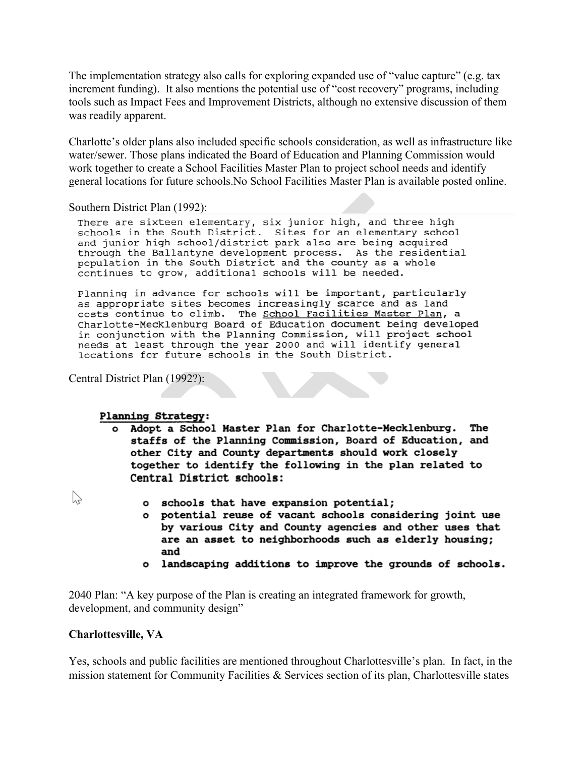The implementation strategy also calls for exploring expanded use of "value capture" (e.g. tax increment funding). It also mentions the potential use of "cost recovery" programs, including tools such as Impact Fees and Improvement Districts, although no extensive discussion of them was readily apparent.

Charlotte's older plans also included specific schools consideration, as well as infrastructure like water/sewer. Those plans indicated the Board of Education and Planning Commission would work together to create a School Facilities Master Plan to project school needs and identify general locations for future schools.No School Facilities Master Plan is available posted online.

Southern District Plan (1992):

There are sixteen elementary, six junior high, and three high schools in the South District. Sites for an elementary school and junior high school/district park also are being acquired through the Ballantyne development process. As the residential population in the South District and the county as a whole continues to grow, additional schools will be needed.

Planning in advance for schools will be important, particularly as appropriate sites becomes increasingly scarce and as land costs continue to climb. The School Facilities Master Plan, a Charlotte-Mecklenburg Board of Education document being developed in conjunction with the Planning Commission, will project school needs at least through the year 2000 and will identify general locations for future schools in the South District.

Central District Plan (1992?):

#### **Planning Strategy:**

- o Adopt a School Master Plan for Charlotte-Mecklenburg. The staffs of the Planning Commission, Board of Education, and other City and County departments should work closely together to identify the following in the plan related to Central District schools:
- $\heartsuit$
- o schools that have expansion potential;
- o potential reuse of vacant schools considering joint use by various City and County agencies and other uses that are an asset to neighborhoods such as elderly housing; and
- o landscaping additions to improve the grounds of schools.

2040 Plan: "A key purpose of the Plan is creating an integrated framework for growth, development, and community design"

#### **Charlottesville, VA**

Yes, schools and public facilities are mentioned throughout Charlottesville's plan. In fact, in the mission statement for Community Facilities & Services section of its plan, Charlottesville states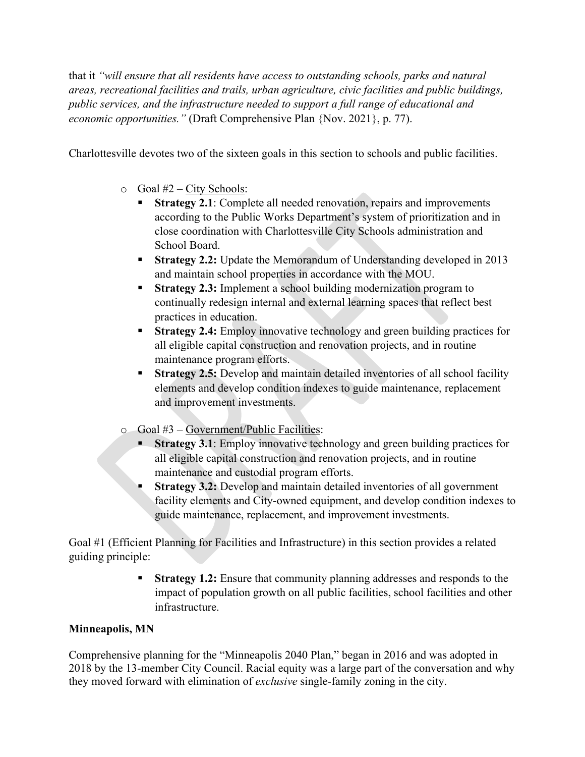that it *"will ensure that all residents have access to outstanding schools, parks and natural areas, recreational facilities and trails, urban agriculture, civic facilities and public buildings, public services, and the infrastructure needed to support a full range of educational and economic opportunities."* (Draft Comprehensive Plan {Nov. 2021}, p. 77).

Charlottesville devotes two of the sixteen goals in this section to schools and public facilities.

- $\circ$  Goal #2 City Schools:
	- **Strategy 2.1:** Complete all needed renovation, repairs and improvements according to the Public Works Department's system of prioritization and in close coordination with Charlottesville City Schools administration and School Board.
	- **Strategy 2.2:** Update the Memorandum of Understanding developed in 2013 and maintain school properties in accordance with the MOU.
	- **Strategy 2.3:** Implement a school building modernization program to continually redesign internal and external learning spaces that reflect best practices in education.
	- **Strategy 2.4:** Employ innovative technology and green building practices for all eligible capital construction and renovation projects, and in routine maintenance program efforts.
	- **Strategy 2.5:** Develop and maintain detailed inventories of all school facility elements and develop condition indexes to guide maintenance, replacement and improvement investments.
- o Goal #3 Government/Public Facilities:
	- **Strategy 3.1**: Employ innovative technology and green building practices for all eligible capital construction and renovation projects, and in routine maintenance and custodial program efforts.
	- **Strategy 3.2:** Develop and maintain detailed inventories of all government facility elements and City-owned equipment, and develop condition indexes to guide maintenance, replacement, and improvement investments.

Goal #1 (Efficient Planning for Facilities and Infrastructure) in this section provides a related guiding principle:

> **Strategy 1.2:** Ensure that community planning addresses and responds to the impact of population growth on all public facilities, school facilities and other infrastructure.

# **Minneapolis, MN**

Comprehensive planning for the "Minneapolis 2040 Plan," began in 2016 and was adopted in 2018 by the 13-member City Council. Racial equity was a large part of the conversation and why they moved forward with elimination of *exclusive* single-family zoning in the city.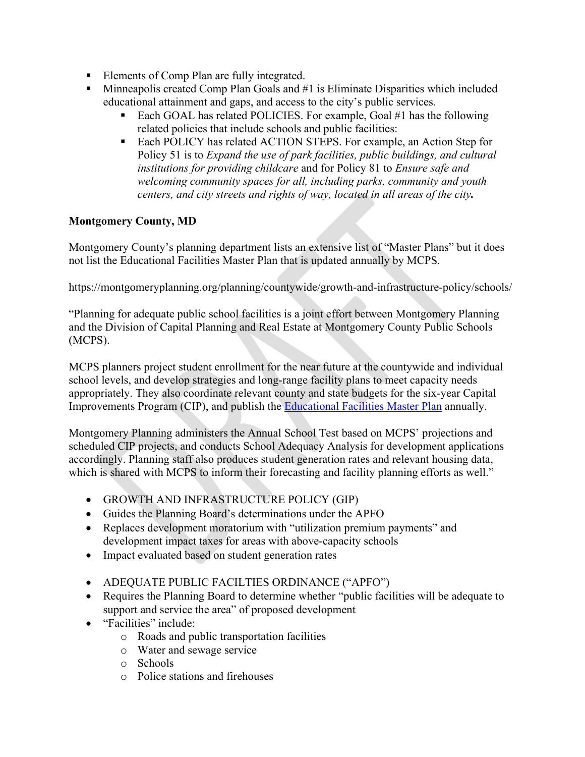- Elements of Comp Plan are fully integrated.
- Minneapolis created Comp Plan Goals and #1 is Eliminate Disparities which included educational attainment and gaps, and access to the city's public services.
	- Each GOAL has related POLICIES. For example, Goal #1 has the following related policies that include schools and public facilities:
	- Each POLICY has related ACTION STEPS. For example, an Action Step for Policy 51 is to *Expand the use of park facilities, public buildings, and cultural institutions for providing childcare* and for Policy 81 to *Ensure safe and welcoming community spaces for all, including parks, community and youth centers, and city streets and rights of way, located in all areas of the city.*

# **Montgomery County, MD**

Montgomery County's planning department lists an extensive list of "Master Plans" but it does not list the Educational Facilities Master Plan that is updated annually by MCPS.

https://montgomeryplanning.org/planning/countywide/growth-and-infrastructure-policy/schools/

"Planning for adequate public school facilities is a joint effort between Montgomery Planning and the Division of Capital Planning and Real Estate at Montgomery County Public Schools (MCPS).

MCPS planners project student enrollment for the near future at the countywide and individual school levels, and develop strategies and long-range facility plans to meet capacity needs appropriately. They also coordinate relevant county and state budgets for the six-year Capital Improvements Program (CIP), and publish the **Educational Facilities Master Plan annually**.

Montgomery Planning administers the Annual School Test based on MCPS' projections and scheduled CIP projects, and conducts School Adequacy Analysis for development applications accordingly. Planning staff also produces student generation rates and relevant housing data, which is shared with MCPS to inform their forecasting and facility planning efforts as well."

- GROWTH AND INFRASTRUCTURE POLICY (GIP)
- Guides the Planning Board's determinations under the APFO
- Replaces development moratorium with "utilization premium payments" and development impact taxes for areas with above-capacity schools
- Impact evaluated based on student generation rates
- ADEQUATE PUBLIC FACILTIES ORDINANCE ("APFO")
- Requires the Planning Board to determine whether "public facilities will be adequate to support and service the area" of proposed development
- "Facilities" include:
	- o Roads and public transportation facilities
	- o Water and sewage service
	- o Schools
	- o Police stations and firehouses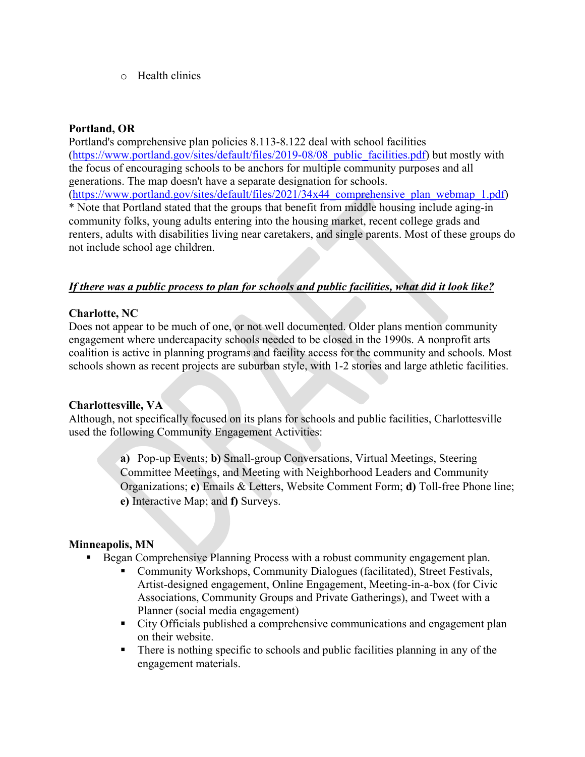o Health clinics

## **Portland, OR**

Portland's comprehensive plan policies 8.113-8.122 deal with school facilities [\(https://www.portland.gov/sites/default/files/2019-08/08\\_public\\_facilities.pdf\)](https://www.portland.gov/sites/default/files/2019-08/08_public_facilities.pdf) but mostly with the focus of encouraging schools to be anchors for multiple community purposes and all generations. The map doesn't have a separate designation for schools. [\(https://www.portland.gov/sites/default/files/2021/34x44\\_comprehensive\\_plan\\_webmap\\_1.pdf\)](https://www.portland.gov/sites/default/files/2021/34x44_comprehensive_plan_webmap_1.pdf) \* Note that Portland stated that the groups that benefit from middle housing include aging-in community folks, young adults entering into the housing market, recent college grads and renters, adults with disabilities living near caretakers, and single parents. Most of these groups do not include school age children.

## *If there was a public process to plan for schools and public facilities, what did it look like?*

## **Charlotte, NC**

Does not appear to be much of one, or not well documented. Older plans mention community engagement where undercapacity schools needed to be closed in the 1990s. A nonprofit arts coalition is active in planning programs and facility access for the community and schools. Most schools shown as recent projects are suburban style, with 1-2 stories and large athletic facilities.

#### **Charlottesville, VA**

Although, not specifically focused on its plans for schools and public facilities, Charlottesville used the following Community Engagement Activities:

> **a)** Pop-up Events; **b)** Small-group Conversations, Virtual Meetings, Steering Committee Meetings, and Meeting with Neighborhood Leaders and Community Organizations; **c)** Emails & Letters, Website Comment Form; **d)** Toll-free Phone line; **e)** Interactive Map; and **f)** Surveys.

## **Minneapolis, MN**

- Began Comprehensive Planning Process with a robust community engagement plan.
	- Community Workshops, Community Dialogues (facilitated), Street Festivals, Artist-designed engagement, Online Engagement, Meeting-in-a-box (for Civic Associations, Community Groups and Private Gatherings), and Tweet with a Planner (social media engagement)
	- City Officials published a comprehensive communications and engagement plan on their website.
	- There is nothing specific to schools and public facilities planning in any of the engagement materials.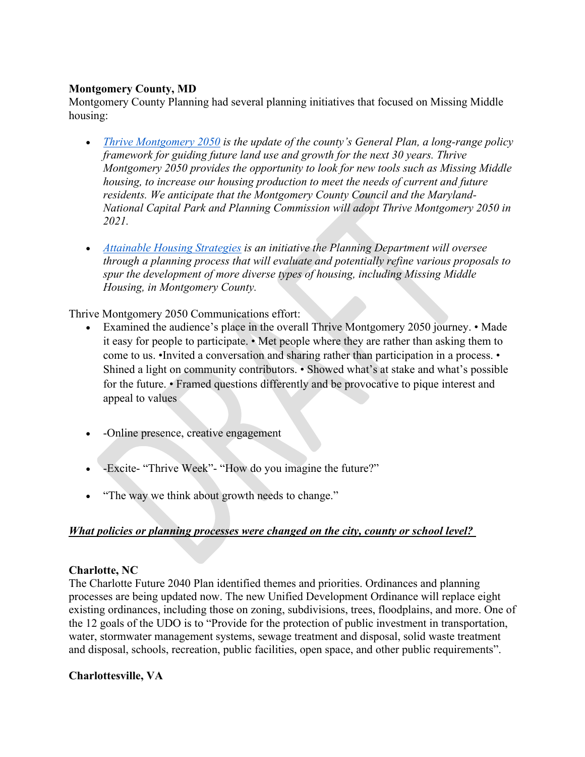### **Montgomery County, MD**

Montgomery County Planning had several planning initiatives that focused on Missing Middle housing:

- *[Thrive Montgomery 2050](https://montgomeryplanning.org/planning/master-plan-list/general-plans/thrive-montgomery-2050/) is the update of the county's General Plan, a long-range policy framework for guiding future land use and growth for the next 30 years. Thrive Montgomery 2050 provides the opportunity to look for new tools such as Missing Middle housing, to increase our housing production to meet the needs of current and future residents. We anticipate that the Montgomery County Council and the Maryland-National Capital Park and Planning Commission will adopt Thrive Montgomery 2050 in 2021.*
- *[Attainable Housing Strategies](https://montgomeryplanning.org/planning/housing/attainable-housing-strategies-initiative/missing-middle-housing/) is an initiative the Planning Department will oversee through a planning process that will evaluate and potentially refine various proposals to spur the development of more diverse types of housing, including Missing Middle Housing, in Montgomery County.*

Thrive Montgomery 2050 Communications effort:

- Examined the audience's place in the overall Thrive Montgomery 2050 journey. Made it easy for people to participate. • Met people where they are rather than asking them to come to us. •Invited a conversation and sharing rather than participation in a process. • Shined a light on community contributors. • Showed what's at stake and what's possible for the future. • Framed questions differently and be provocative to pique interest and appeal to values
- -Online presence, creative engagement
- -Excite- "Thrive Week"- "How do you imagine the future?"
- "The way we think about growth needs to change."

## *What policies or planning processes were changed on the city, county or school level?*

#### **Charlotte, NC**

The Charlotte Future 2040 Plan identified themes and priorities. Ordinances and planning processes are being updated now. The new Unified Development Ordinance will replace eight existing ordinances, including those on zoning, subdivisions, trees, floodplains, and more. One of the 12 goals of the UDO is to "Provide for the protection of public investment in transportation, water, stormwater management systems, sewage treatment and disposal, solid waste treatment and disposal, schools, recreation, public facilities, open space, and other public requirements".

#### **Charlottesville, VA**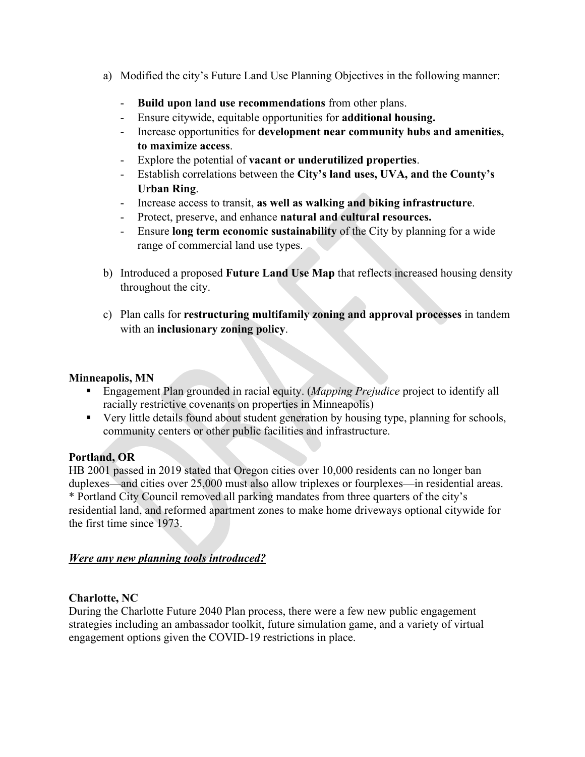- a) Modified the city's Future Land Use Planning Objectives in the following manner:
	- **Build upon land use recommendations** from other plans.
	- Ensure citywide, equitable opportunities for **additional housing.**
	- Increase opportunities for **development near community hubs and amenities, to maximize access**.
	- Explore the potential of **vacant or underutilized properties**.
	- Establish correlations between the **City's land uses, UVA, and the County's Urban Ring**.
	- Increase access to transit, **as well as walking and biking infrastructure**.
	- Protect, preserve, and enhance **natural and cultural resources.**
	- Ensure **long term economic sustainability** of the City by planning for a wide range of commercial land use types.
- b) Introduced a proposed **Future Land Use Map** that reflects increased housing density throughout the city.
- c) Plan calls for **restructuring multifamily zoning and approval processes** in tandem with an **inclusionary zoning policy**.

### **Minneapolis, MN**

- Engagement Plan grounded in racial equity. (*Mapping Prejudice* project to identify all racially restrictive covenants on properties in Minneapolis)
- Very little details found about student generation by housing type, planning for schools, community centers or other public facilities and infrastructure.

## **Portland, OR**

HB 2001 passed in 2019 stated that Oregon cities over 10,000 residents can no longer ban duplexes—and cities over 25,000 must also allow triplexes or fourplexes—in residential areas. \* Portland City Council removed all parking mandates from three quarters of the city's residential land, and reformed apartment zones to make home driveways optional citywide for the first time since 1973.

## *Were any new planning tools introduced?*

## **Charlotte, NC**

During the Charlotte Future 2040 Plan process, there were a few new public engagement strategies including an ambassador toolkit, future simulation game, and a variety of virtual engagement options given the COVID-19 restrictions in place.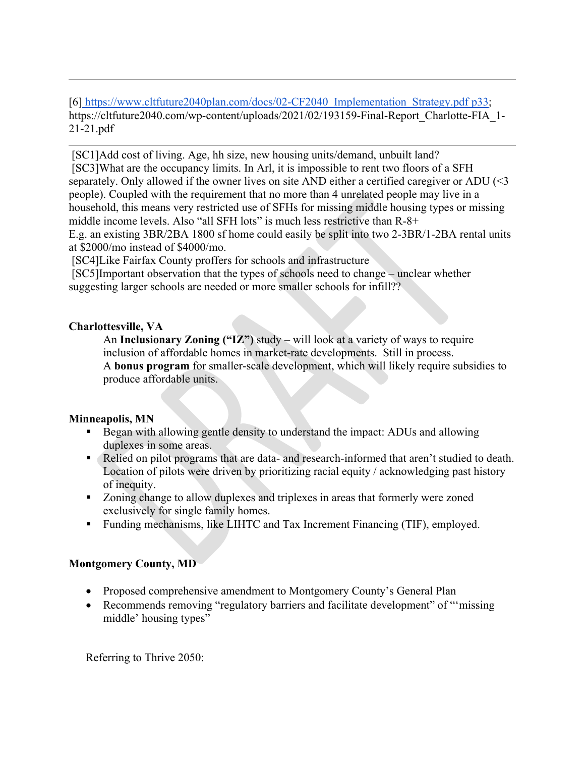[6] [https://www.cltfuture2040plan.com/docs/02-CF2040\\_Implementation\\_Strategy.pdf p33;](https://www.cltfuture2040plan.com/docs/02-CF2040_Implementation_Strategy.pdf%20p33) https://cltfuture2040.com/wp-content/uploads/2021/02/193159-Final-Report\_Charlotte-FIA\_1- 21-21.pdf

[SC1]Add cost of living. Age, hh size, new housing units/demand, unbuilt land? [SC3]What are the occupancy limits. In Arl, it is impossible to rent two floors of a SFH separately. Only allowed if the owner lives on site AND either a certified caregiver or ADU (<3 people). Coupled with the requirement that no more than 4 unrelated people may live in a household, this means very restricted use of SFHs for missing middle housing types or missing middle income levels. Also "all SFH lots" is much less restrictive than R-8+ E.g. an existing 3BR/2BA 1800 sf home could easily be split into two 2-3BR/1-2BA rental units at \$2000/mo instead of \$4000/mo.

[SC4]Like Fairfax County proffers for schools and infrastructure

[SC5]Important observation that the types of schools need to change – unclear whether suggesting larger schools are needed or more smaller schools for infill??

## **Charlottesville, VA**

An **Inclusionary Zoning ("IZ")** study – will look at a variety of ways to require inclusion of affordable homes in market-rate developments. Still in process. A **bonus program** for smaller-scale development, which will likely require subsidies to produce affordable units.

# **Minneapolis, MN**

- Began with allowing gentle density to understand the impact: ADUs and allowing duplexes in some areas.
- Relied on pilot programs that are data- and research-informed that aren't studied to death. Location of pilots were driven by prioritizing racial equity / acknowledging past history of inequity.
- Zoning change to allow duplexes and triplexes in areas that formerly were zoned exclusively for single family homes.
- Funding mechanisms, like LIHTC and Tax Increment Financing (TIF), employed.

# **Montgomery County, MD**

- Proposed comprehensive amendment to Montgomery County's General Plan
- Recommends removing "regulatory barriers and facilitate development" of "missing" middle' housing types"

Referring to Thrive 2050: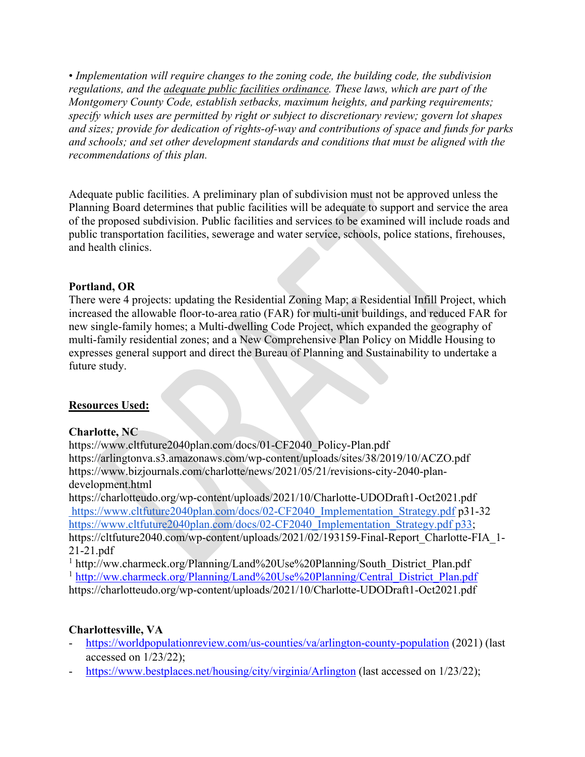• *Implementation will require changes to the zoning code, the building code, the subdivision regulations, and the adequate public facilities ordinance. These laws, which are part of the Montgomery County Code, establish setbacks, maximum heights, and parking requirements; specify which uses are permitted by right or subject to discretionary review; govern lot shapes and sizes; provide for dedication of rights-of-way and contributions of space and funds for parks and schools; and set other development standards and conditions that must be aligned with the recommendations of this plan.*

Adequate public facilities. A preliminary plan of subdivision must not be approved unless the Planning Board determines that public facilities will be adequate to support and service the area of the proposed subdivision. Public facilities and services to be examined will include roads and public transportation facilities, sewerage and water service, schools, police stations, firehouses, and health clinics.

### **Portland, OR**

There were 4 projects: updating the Residential Zoning Map; a Residential Infill Project, which increased the allowable floor-to-area ratio (FAR) for multi-unit buildings, and reduced FAR for new single-family homes; a Multi-dwelling Code Project, which expanded the geography of multi-family residential zones; and a New Comprehensive Plan Policy on Middle Housing to expresses general support and direct the Bureau of Planning and Sustainability to undertake a future study.

#### **Resources Used:**

#### **Charlotte, NC**

https://www.cltfuture2040plan.com/docs/01-CF2040\_Policy-Plan.pdf https://arlingtonva.s3.amazonaws.com/wp-content/uploads/sites/38/2019/10/ACZO.pdf https://www.bizjournals.com/charlotte/news/2021/05/21/revisions-city-2040-plandevelopment.html

https://charlotteudo.org/wp-content/uploads/2021/10/Charlotte-UDODraft1-Oct2021.pdf [https://www.cltfuture2040plan.com/docs/02-CF2040\\_Implementation\\_Strategy.pdf](https://www.cltfuture2040plan.com/docs/02-CF2040_Implementation_Strategy.pdf) p31-32 [https://www.cltfuture2040plan.com/docs/02-CF2040\\_Implementation\\_Strategy.pdf p33;](https://www.cltfuture2040plan.com/docs/02-CF2040_Implementation_Strategy.pdf%20p33) https://cltfuture2040.com/wp-content/uploads/2021/02/193159-Final-Report\_Charlotte-FIA\_1- 21-21.pdf

<sup>1</sup> http://ww.charmeck.org/Planning/Land%20Use%20Planning/South\_District\_Plan.pdf <sup>1</sup> [http://ww.charmeck.org/Planning/Land%20Use%20Planning/Central\\_District\\_Plan.pdf](http://ww.charmeck.org/Planning/Land%20Use%20Planning/Central_District_Plan.pdf) https://charlotteudo.org/wp-content/uploads/2021/10/Charlotte-UDODraft1-Oct2021.pdf

## **Charlottesville, VA**

- <https://worldpopulationreview.com/us-counties/va/arlington-county-population> (2021) (last accessed on 1/23/22);
- <https://www.bestplaces.net/housing/city/virginia/Arlington> (last accessed on 1/23/22);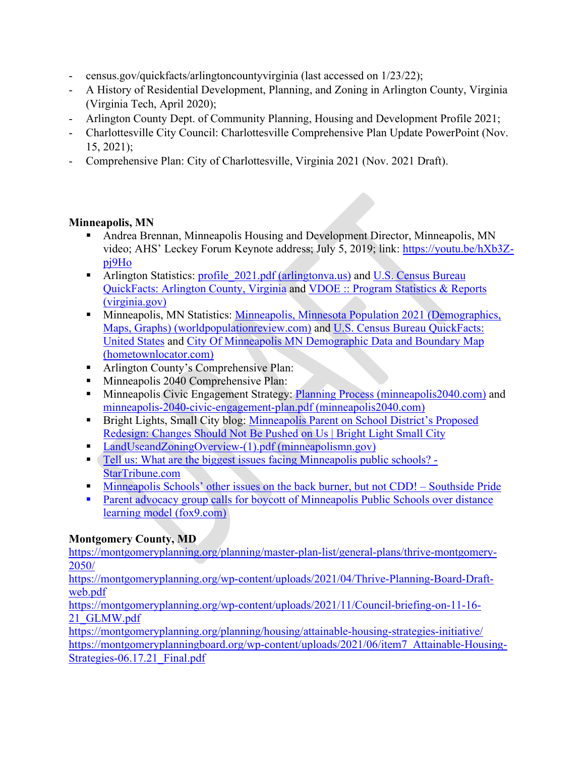- census.gov/quickfacts/arlingtoncountyvirginia (last accessed on 1/23/22);
- A History of Residential Development, Planning, and Zoning in Arlington County, Virginia (Virginia Tech, April 2020);
- Arlington County Dept. of Community Planning, Housing and Development Profile 2021;
- Charlottesville City Council: Charlottesville Comprehensive Plan Update PowerPoint (Nov. 15, 2021);
- Comprehensive Plan: City of Charlottesville, Virginia 2021 (Nov. 2021 Draft).

## **Minneapolis, MN**

- Andrea Brennan, Minneapolis Housing and Development Director, Minneapolis, MN video; AHS' Leckey Forum Keynote address; July 5, 2019; link: [https://youtu.be/hXb3Z](https://youtu.be/hXb3Z-pj9Ho)[pj9Ho](https://youtu.be/hXb3Z-pj9Ho)
- **EXECUTE:** Arlington Statistics: profile 2021.pdf (arlingtonva.us) and U.S. Census Bureau [QuickFacts: Arlington County, Virginia](https://www.census.gov/quickfacts/arlingtoncountyvirginia) and [VDOE :: Program Statistics & Reports](https://www.doe.virginia.gov/support/nutrition/statistics/index.shtml)  [\(virginia.gov\)](https://www.doe.virginia.gov/support/nutrition/statistics/index.shtml)
- **Minneapolis, MN Statistics: Minneapolis, Minnesota Population 2021 (Demographics,** [Maps, Graphs\) \(worldpopulationreview.com\)](https://worldpopulationreview.com/us-cities/minneapolis-mn-population) and [U.S. Census Bureau QuickFacts:](https://www.census.gov/quickfacts/fact/table/minneapoliscityminnesota,US/PST045221)  [United States](https://www.census.gov/quickfacts/fact/table/minneapoliscityminnesota,US/PST045221) and [City Of Minneapolis MN Demographic Data and Boundary Map](https://minnesota.hometownlocator.com/counties/subdivisions/data,n,city%20of%20minneapolis,id,2705343000,cfips,053.cfm)  [\(hometownlocator.com\)](https://minnesota.hometownlocator.com/counties/subdivisions/data,n,city%20of%20minneapolis,id,2705343000,cfips,053.cfm)
- **Arlington County's Comprehensive Plan:**
- Minneapolis 2040 Comprehensive Plan:
- Minneapolis Civic Engagement Strategy: [Planning Process \(minneapolis2040.com\)](https://minneapolis2040.com/planning-process/) and [minneapolis-2040-civic-engagement-plan.pdf \(minneapolis2040.com\)](https://minneapolis2040.com/media/1216/minneapolis-2040-civic-engagement-plan.pdf)
- **Bright Lights, Small City blog: Minneapolis Parent on School District's Proposed** [Redesign: Changes Should Not Be Pushed on Us | Bright Light Small City](https://www.brightlightsmallcity.com/minneapolis-parent-on-school-districts-proposed-redesign-changes-should-not-be-pushed-on-us/)
- [LandUseandZoningOverview-\(1\).pdf \(minneapolismn.gov\)](https://www2.minneapolismn.gov/media/content-assets/www2-documents/business/LandUseandZoningOverview-(1).pdf)
- [Tell us: What are the biggest issues facing Minneapolis public schools? -](https://www.startribune.com/tell-us-what-are-the-biggest-issues-facing-minneapolis-public-schools/420379163/) [StarTribune.com](https://www.startribune.com/tell-us-what-are-the-biggest-issues-facing-minneapolis-public-schools/420379163/)
- **Minneapolis Schools' other issues on the back burner, but not CDD!** Southside Pride
- **Parent advocacy group calls for boycott of Minneapolis Public Schools over distance** [learning model \(fox9.com\)](https://www.fox9.com/news/parent-advocacy-group-calls-for-boycott-of-minneapolis-public-schools-over-distance-learning-model)

# **Montgomery County, MD**

[https://montgomeryplanning.org/planning/master-plan-list/general-plans/thrive-montgomery-](https://montgomeryplanning.org/planning/master-plan-list/general-plans/thrive-montgomery-2050/)[2050/](https://montgomeryplanning.org/planning/master-plan-list/general-plans/thrive-montgomery-2050/)

[https://montgomeryplanning.org/wp-content/uploads/2021/04/Thrive-Planning-Board-Draft](https://montgomeryplanning.org/wp-content/uploads/2021/04/Thrive-Planning-Board-Draft-web.pdf)[web.pdf](https://montgomeryplanning.org/wp-content/uploads/2021/04/Thrive-Planning-Board-Draft-web.pdf)

[https://montgomeryplanning.org/wp-content/uploads/2021/11/Council-briefing-on-11-16-](https://montgomeryplanning.org/wp-content/uploads/2021/11/Council-briefing-on-11-16-21_GLMW.pdf) [21\\_GLMW.pdf](https://montgomeryplanning.org/wp-content/uploads/2021/11/Council-briefing-on-11-16-21_GLMW.pdf)

<https://montgomeryplanning.org/planning/housing/attainable-housing-strategies-initiative/> [https://montgomeryplanningboard.org/wp-content/uploads/2021/06/item7\\_Attainable-Housing-](https://montgomeryplanningboard.org/wp-content/uploads/2021/06/item7_Attainable-Housing-Strategies-06.17.21_Final.pdf)[Strategies-06.17.21\\_Final.pdf](https://montgomeryplanningboard.org/wp-content/uploads/2021/06/item7_Attainable-Housing-Strategies-06.17.21_Final.pdf)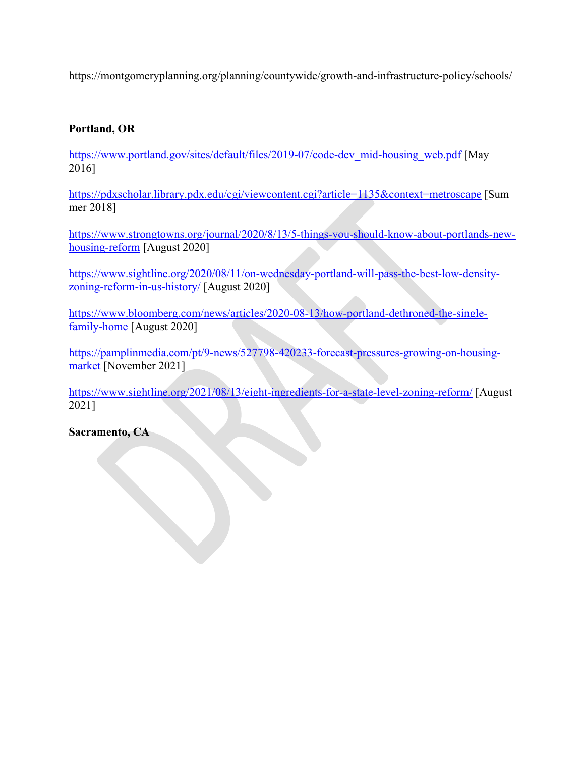https://montgomeryplanning.org/planning/countywide/growth-and-infrastructure-policy/schools/

## **Portland, OR**

[https://www.portland.gov/sites/default/files/2019-07/code-dev\\_mid-housing\\_web.pdf](https://www.portland.gov/sites/default/files/2019-07/code-dev_mid-housing_web.pdf) [May 2016]

<https://pdxscholar.library.pdx.edu/cgi/viewcontent.cgi?article=1135&context=metroscape> [Sum mer 2018]

[https://www.strongtowns.org/journal/2020/8/13/5-things-you-should-know-about-portlands-new](https://www.strongtowns.org/journal/2020/8/13/5-things-you-should-know-about-portlands-new-housing-reform)[housing-reform](https://www.strongtowns.org/journal/2020/8/13/5-things-you-should-know-about-portlands-new-housing-reform) [August 2020]

[https://www.sightline.org/2020/08/11/on-wednesday-portland-will-pass-the-best-low-density](https://www.sightline.org/2020/08/11/on-wednesday-portland-will-pass-the-best-low-density-zoning-reform-in-us-history/)[zoning-reform-in-us-history/](https://www.sightline.org/2020/08/11/on-wednesday-portland-will-pass-the-best-low-density-zoning-reform-in-us-history/) [August 2020]

[https://www.bloomberg.com/news/articles/2020-08-13/how-portland-dethroned-the-single](https://www.bloomberg.com/news/articles/2020-08-13/how-portland-dethroned-the-single-family-home)[family-home](https://www.bloomberg.com/news/articles/2020-08-13/how-portland-dethroned-the-single-family-home) [August 2020]

[https://pamplinmedia.com/pt/9-news/527798-420233-forecast-pressures-growing-on-housing](https://pamplinmedia.com/pt/9-news/527798-420233-forecast-pressures-growing-on-housing-market)[market](https://pamplinmedia.com/pt/9-news/527798-420233-forecast-pressures-growing-on-housing-market) [November 2021]

<https://www.sightline.org/2021/08/13/eight-ingredients-for-a-state-level-zoning-reform/> [August 2021]

**Sacramento, CA**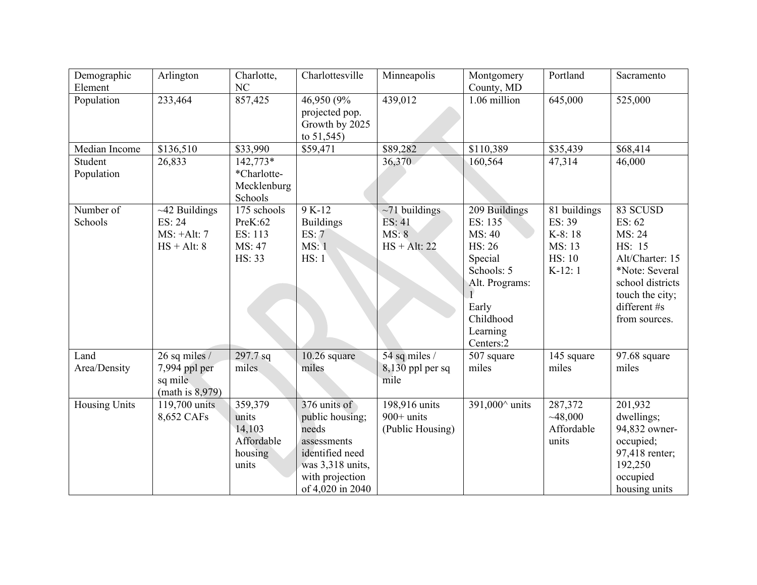| Demographic<br>Element | Arlington                                                       | Charlotte,<br>NC                                             | Charlottesville                                                                                                                       | Minneapolis                                              | Montgomery<br>County, MD                                                                                                               | Portland                                                                | Sacramento                                                                                                                                          |
|------------------------|-----------------------------------------------------------------|--------------------------------------------------------------|---------------------------------------------------------------------------------------------------------------------------------------|----------------------------------------------------------|----------------------------------------------------------------------------------------------------------------------------------------|-------------------------------------------------------------------------|-----------------------------------------------------------------------------------------------------------------------------------------------------|
| Population             | 233,464                                                         | 857,425                                                      | 46,950 (9%<br>projected pop.<br>Growth by 2025<br>to $51,545$                                                                         | 439,012                                                  | 1.06 million                                                                                                                           | 645,000                                                                 | 525,000                                                                                                                                             |
| Median Income          | \$136,510                                                       | \$33,990                                                     | \$59,471                                                                                                                              | \$89,282                                                 | \$110,389                                                                                                                              | \$35,439                                                                | \$68,414                                                                                                                                            |
| Student<br>Population  | 26,833                                                          | $142,773*$<br>*Charlotte-<br>Mecklenburg<br>Schools          |                                                                                                                                       | 36,370                                                   | 160,564                                                                                                                                | 47,314                                                                  | 46,000                                                                                                                                              |
| Number of<br>Schools   | $~12$ Buildings<br>ES: 24<br>$MS: +Alt: 7$<br>$HS + Alt: 8$     | 175 schools<br>PreK:62<br>ES: 113<br>MS: 47<br>HS: 33        | 9 K-12<br><b>Buildings</b><br>ES: 7<br>MS:1<br>HS: 1                                                                                  | $\sim$ 71 buildings<br>ES: 41<br>MS: 8<br>$HS + Alt: 22$ | 209 Buildings<br>ES: 135<br>MS: 40<br>HS: 26<br>Special<br>Schools: 5<br>Alt. Programs:<br>Early<br>Childhood<br>Learning<br>Centers:2 | 81 buildings<br>ES: 39<br>K-8:18<br>MS: 13<br><b>HS: 10</b><br>$K-12:1$ | 83 SCUSD<br>ES: 62<br>MS: 24<br>HS: 15<br>Alt/Charter: 15<br>*Note: Several<br>school districts<br>touch the city;<br>different #s<br>from sources. |
| Land<br>Area/Density   | 26 sq miles /<br>7,994 ppl per<br>sq mile<br>(math is $8,979$ ) | 297.7 sq<br>miles                                            | $10.26$ square<br>miles                                                                                                               | 54 sq miles /<br>$8,130$ ppl per sq<br>mile              | 507 square<br>miles                                                                                                                    | 145 square<br>miles                                                     | $97.68$ square<br>miles                                                                                                                             |
| Housing Units          | 119,700 units<br>8,652 CAFs                                     | 359,379<br>units<br>14,103<br>Affordable<br>housing<br>units | 376 units of<br>public housing;<br>needs<br>assessments<br>identified need<br>was 3,318 units,<br>with projection<br>of 4,020 in 2040 | 198,916 units<br>$900+$ units<br>(Public Housing)        | 391,000^ units                                                                                                                         | 287,372<br>~148,000<br>Affordable<br>units                              | 201,932<br>dwellings;<br>94,832 owner-<br>occupied;<br>97,418 renter;<br>192,250<br>occupied<br>housing units                                       |